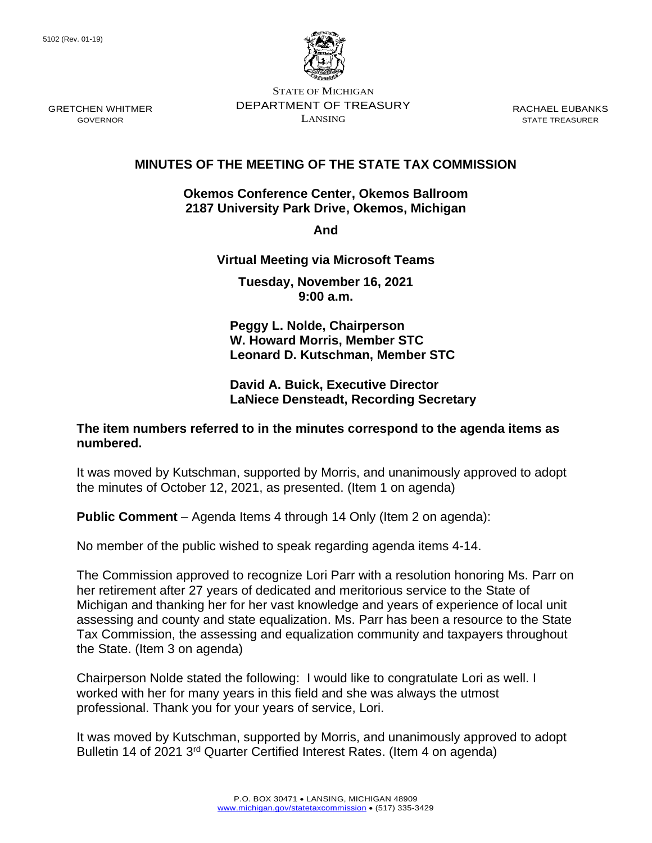

STATE OF MICHIGAN DEPARTMENT OF TREASURY LANSING

RACHAEL EUBANKS STATE TREASURER

# **MINUTES OF THE MEETING OF THE STATE TAX COMMISSION**

### **Okemos Conference Center, Okemos Ballroom 2187 University Park Drive, Okemos, Michigan**

**And** 

# **Virtual Meeting via Microsoft Teams**

**Tuesday, November 16, 2021 9:00 a.m.**

**Peggy L. Nolde, Chairperson W. Howard Morris, Member STC Leonard D. Kutschman, Member STC**

## **David A. Buick, Executive Director LaNiece Densteadt, Recording Secretary**

# **The item numbers referred to in the minutes correspond to the agenda items as numbered.**

It was moved by Kutschman, supported by Morris, and unanimously approved to adopt the minutes of October 12, 2021, as presented. (Item 1 on agenda)

**Public Comment** – Agenda Items 4 through 14 Only (Item 2 on agenda):

No member of the public wished to speak regarding agenda items 4-14.

The Commission approved to recognize Lori Parr with a resolution honoring Ms. Parr on her retirement after 27 years of dedicated and meritorious service to the State of Michigan and thanking her for her vast knowledge and years of experience of local unit assessing and county and state equalization. Ms. Parr has been a resource to the State Tax Commission, the assessing and equalization community and taxpayers throughout the State. (Item 3 on agenda)

Chairperson Nolde stated the following: I would like to congratulate Lori as well. I worked with her for many years in this field and she was always the utmost professional. Thank you for your years of service, Lori.

It was moved by Kutschman, supported by Morris, and unanimously approved to adopt Bulletin 14 of 2021 3<sup>rd</sup> Quarter Certified Interest Rates. (Item 4 on agenda)

GOVERNOR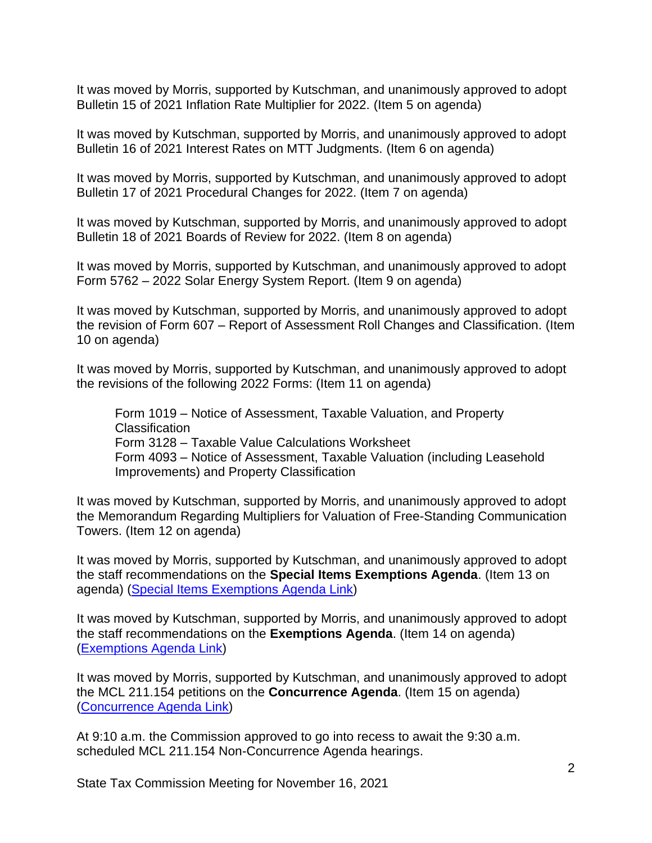It was moved by Morris, supported by Kutschman, and unanimously approved to adopt Bulletin 15 of 2021 Inflation Rate Multiplier for 2022. (Item 5 on agenda)

It was moved by Kutschman, supported by Morris, and unanimously approved to adopt Bulletin 16 of 2021 Interest Rates on MTT Judgments. (Item 6 on agenda)

It was moved by Morris, supported by Kutschman, and unanimously approved to adopt Bulletin 17 of 2021 Procedural Changes for 2022. (Item 7 on agenda)

It was moved by Kutschman, supported by Morris, and unanimously approved to adopt Bulletin 18 of 2021 Boards of Review for 2022. (Item 8 on agenda)

It was moved by Morris, supported by Kutschman, and unanimously approved to adopt Form 5762 – 2022 Solar Energy System Report. (Item 9 on agenda)

It was moved by Kutschman, supported by Morris, and unanimously approved to adopt the revision of Form 607 – Report of Assessment Roll Changes and Classification. (Item 10 on agenda)

It was moved by Morris, supported by Kutschman, and unanimously approved to adopt the revisions of the following 2022 Forms: (Item 11 on agenda)

Form 1019 – Notice of Assessment, Taxable Valuation, and Property **Classification** Form 3128 – Taxable Value Calculations Worksheet Form 4093 – Notice of Assessment, Taxable Valuation (including Leasehold Improvements) and Property Classification

It was moved by Kutschman, supported by Morris, and unanimously approved to adopt the Memorandum Regarding Multipliers for Valuation of Free-Standing Communication Towers. (Item 12 on agenda)

It was moved by Morris, supported by Kutschman, and unanimously approved to adopt the staff recommendations on the **Special Items Exemptions Agenda**. (Item 13 on agenda) [\(Special Items Exemptions Agenda Link\)](https://www.michigan.gov/documents/treasury/13_Exemptions_Special_Items_Agenda_740714_7.pdf)

It was moved by Kutschman, supported by Morris, and unanimously approved to adopt the staff recommendations on the **Exemptions Agenda**. (Item 14 on agenda) [\(Exemptions Agenda Link\)](https://www.michigan.gov/documents/treasury/14_Exemptions_Agenda_740715_7.pdf)

It was moved by Morris, supported by Kutschman, and unanimously approved to adopt the MCL 211.154 petitions on the **Concurrence Agenda**. (Item 15 on agenda) [\(Concurrence](https://www.michigan.gov/documents/treasury/15_Concurrence_Agenda_740716_7.pdf) Agenda Link)

At 9:10 a.m. the Commission approved to go into recess to await the 9:30 a.m. scheduled MCL 211.154 Non-Concurrence Agenda hearings.

State Tax Commission Meeting for November 16, 2021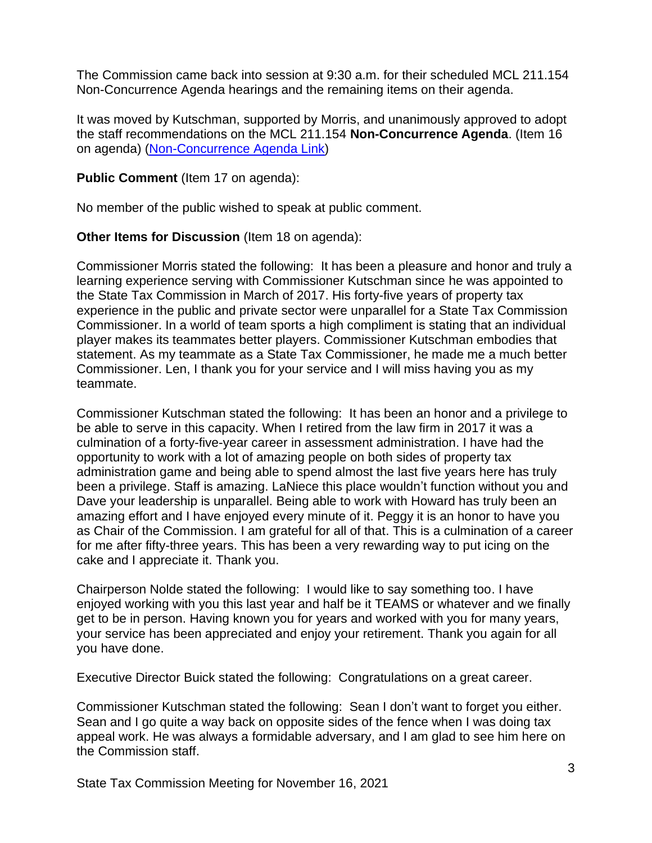The Commission came back into session at 9:30 a.m. for their scheduled MCL 211.154 Non-Concurrence Agenda hearings and the remaining items on their agenda.

It was moved by Kutschman, supported by Morris, and unanimously approved to adopt the staff recommendations on the MCL 211.154 **Non-Concurrence Agenda**. (Item 16 on agenda) [\(Non-Concurrence Agenda Link\)](https://www.michigan.gov/documents/treasury/16_NonConcurrence_Agenda_740717_7.pdf)

# **Public Comment** (Item 17 on agenda):

No member of the public wished to speak at public comment.

### **Other Items for Discussion** (Item 18 on agenda):

Commissioner Morris stated the following: It has been a pleasure and honor and truly a learning experience serving with Commissioner Kutschman since he was appointed to the State Tax Commission in March of 2017. His forty-five years of property tax experience in the public and private sector were unparallel for a State Tax Commission Commissioner. In a world of team sports a high compliment is stating that an individual player makes its teammates better players. Commissioner Kutschman embodies that statement. As my teammate as a State Tax Commissioner, he made me a much better Commissioner. Len, I thank you for your service and I will miss having you as my teammate.

Commissioner Kutschman stated the following: It has been an honor and a privilege to be able to serve in this capacity. When I retired from the law firm in 2017 it was a culmination of a forty-five-year career in assessment administration. I have had the opportunity to work with a lot of amazing people on both sides of property tax administration game and being able to spend almost the last five years here has truly been a privilege. Staff is amazing. LaNiece this place wouldn't function without you and Dave your leadership is unparallel. Being able to work with Howard has truly been an amazing effort and I have enjoyed every minute of it. Peggy it is an honor to have you as Chair of the Commission. I am grateful for all of that. This is a culmination of a career for me after fifty-three years. This has been a very rewarding way to put icing on the cake and I appreciate it. Thank you.

Chairperson Nolde stated the following: I would like to say something too. I have enjoyed working with you this last year and half be it TEAMS or whatever and we finally get to be in person. Having known you for years and worked with you for many years, your service has been appreciated and enjoy your retirement. Thank you again for all you have done.

Executive Director Buick stated the following: Congratulations on a great career.

Commissioner Kutschman stated the following: Sean I don't want to forget you either. Sean and I go quite a way back on opposite sides of the fence when I was doing tax appeal work. He was always a formidable adversary, and I am glad to see him here on the Commission staff.